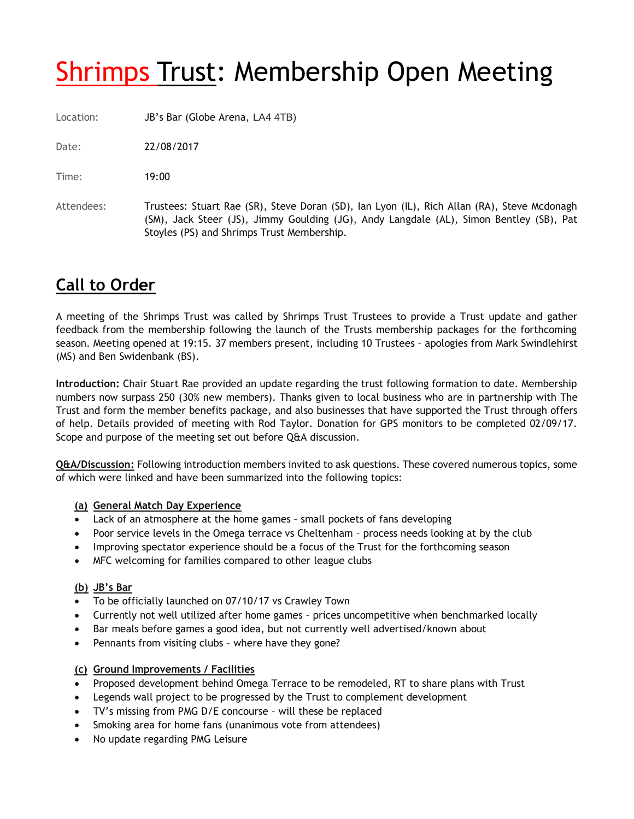# **Shrimps Trust: Membership Open Meeting**

Location: JB's Bar (Globe Arena, LA4 4TB)

Date: 22/08/2017

Time: 19:00

Attendees: Trustees: Stuart Rae (SR), Steve Doran (SD), Ian Lyon (IL), Rich Allan (RA), Steve Mcdonagh (SM), Jack Steer (JS), Jimmy Goulding (JG), Andy Langdale (AL), Simon Bentley (SB), Pat Stoyles (PS) and Shrimps Trust Membership.

# **Call to Order**

A meeting of the Shrimps Trust was called by Shrimps Trust Trustees to provide a Trust update and gather feedback from the membership following the launch of the Trusts membership packages for the forthcoming season. Meeting opened at 19:15. 37 members present, including 10 Trustees – apologies from Mark Swindlehirst (MS) and Ben Swidenbank (BS).

**Introduction:** Chair Stuart Rae provided an update regarding the trust following formation to date. Membership numbers now surpass 250 (30% new members). Thanks given to local business who are in partnership with The Trust and form the member benefits package, and also businesses that have supported the Trust through offers of help. Details provided of meeting with Rod Taylor. Donation for GPS monitors to be completed 02/09/17. Scope and purpose of the meeting set out before Q&A discussion.

**Q&A/Discussion:** Following introduction members invited to ask questions. These covered numerous topics, some of which were linked and have been summarized into the following topics:

#### **(a) General Match Day Experience**

- Lack of an atmosphere at the home games small pockets of fans developing
- Poor service levels in the Omega terrace vs Cheltenham process needs looking at by the club
- Improving spectator experience should be a focus of the Trust for the forthcoming season
- MFC welcoming for families compared to other league clubs

## **(b) JB's Bar**

- To be officially launched on 07/10/17 vs Crawley Town
- Currently not well utilized after home games prices uncompetitive when benchmarked locally
- Bar meals before games a good idea, but not currently well advertised/known about
- Pennants from visiting clubs where have they gone?

## **(c) Ground Improvements / Facilities**

- Proposed development behind Omega Terrace to be remodeled, RT to share plans with Trust
- Legends wall project to be progressed by the Trust to complement development
- TV's missing from PMG D/E concourse will these be replaced
- Smoking area for home fans (unanimous vote from attendees)
- No update regarding PMG Leisure